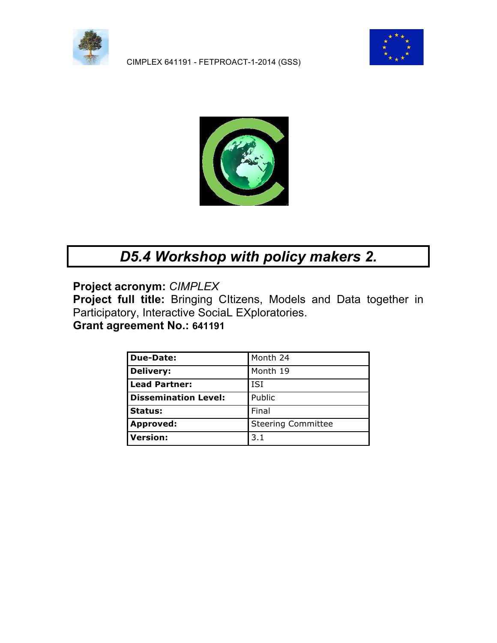

CIMPLEX 641191 - FETPROACT-1-2014 (GSS)





# *D5.4 Workshop with policy makers 2.*

**Project acronym:** *CIMPLEX*

**Project full title:** Bringing CItizens, Models and Data together in Participatory, Interactive SociaL EXploratories.

**Grant agreement No.: 641191**

| <b>Due-Date:</b>            | Month 24                  |
|-----------------------------|---------------------------|
| <b>Delivery:</b>            | Month 19                  |
| <b>Lead Partner:</b>        | <b>ISI</b>                |
| <b>Dissemination Level:</b> | Public                    |
| <b>Status:</b>              | Final                     |
| <b>Approved:</b>            | <b>Steering Committee</b> |
| <b>Version:</b>             | 3.1                       |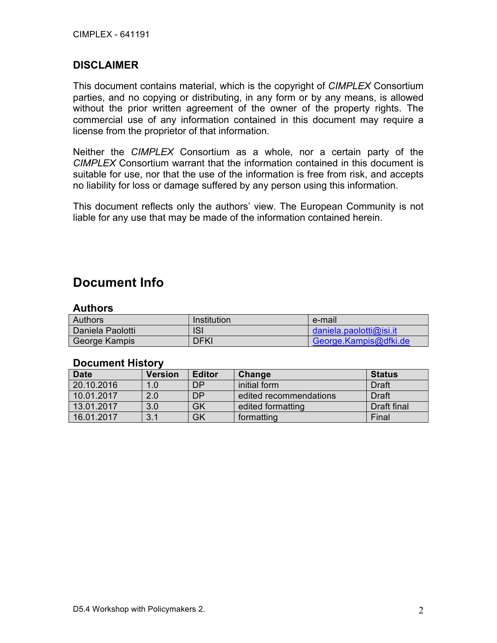#### **DISCLAIMER**

This document contains material, which is the copyright of *CIMPLEX* Consortium parties, and no copying or distributing, in any form or by any means, is allowed without the prior written agreement of the owner of the property rights. The commercial use of any information contained in this document may require a license from the proprietor of that information.

Neither the *CIMPLEX* Consortium as a whole, nor a certain party of the *CIMPLEX* Consortium warrant that the information contained in this document is suitable for use, nor that the use of the information is free from risk, and accepts no liability for loss or damage suffered by any person using this information.

This document reflects only the authors' view. The European Community is not liable for any use that may be made of the information contained herein.

### **Document Info**

#### **Authors**

| <b>Authors</b>   | Institution | e-mail                  |
|------------------|-------------|-------------------------|
| Daniela Paolotti | ISI         | daniela.paolotti@isi.it |
| George Kampis    | <b>DFKI</b> | George.Kampis@dfki.de   |

#### **Document History**

| <b>Date</b> | Version | <b>Editor</b> | Change                 | <b>Status</b> |
|-------------|---------|---------------|------------------------|---------------|
| 20.10.2016  | 1.0     | <b>DP</b>     | initial form           | <b>Draft</b>  |
| 10.01.2017  | 2.0     | <b>DP</b>     | edited recommendations | <b>Draft</b>  |
| 13.01.2017  | 3.0     | GK            | edited formatting      | Draft final   |
| 16.01.2017  | 3.1     | GK            | formatting             | Final         |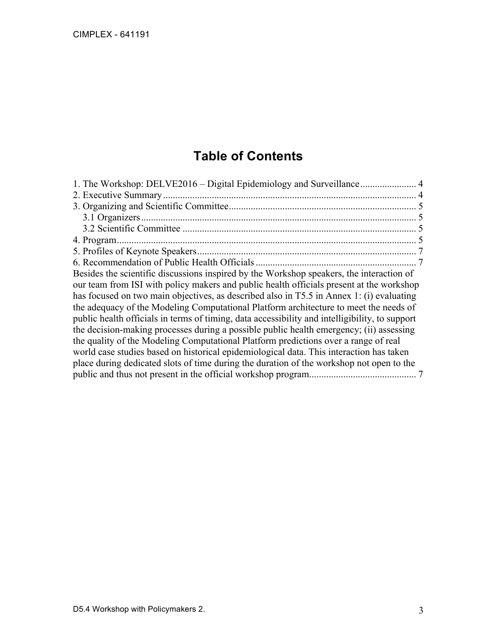CIMPLEX - 641191

# **Table of Contents**

| Besides the scientific discussions inspired by the Workshop speakers, the interaction of       |  |
|------------------------------------------------------------------------------------------------|--|
| our team from ISI with policy makers and public health officials present at the workshop       |  |
| has focused on two main objectives, as described also in T5.5 in Annex 1: (i) evaluating       |  |
| the adequacy of the Modeling Computational Platform architecture to meet the needs of          |  |
| public health officials in terms of timing, data accessibility and intelligibility, to support |  |
| the decision-making processes during a possible public health emergency; (ii) assessing        |  |
| the quality of the Modeling Computational Platform predictions over a range of real            |  |
| world case studies based on historical epidemiological data. This interaction has taken        |  |
| place during dedicated slots of time during the duration of the workshop not open to the       |  |
|                                                                                                |  |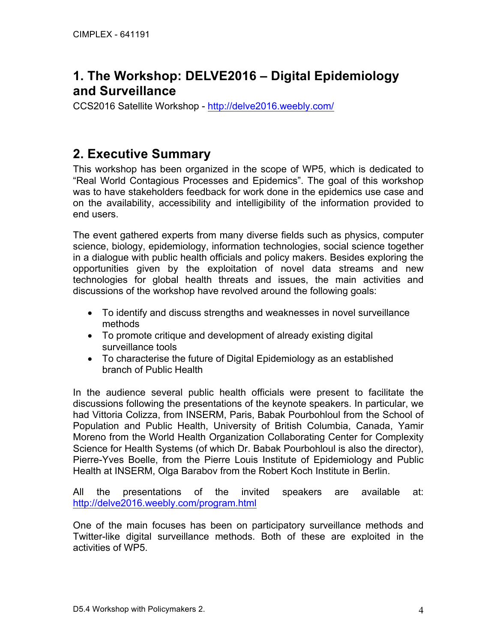## **1. The Workshop: DELVE2016 – Digital Epidemiology and Surveillance**

CCS2016 Satellite Workshop - http://delve2016.weebly.com/

## **2. Executive Summary**

This workshop has been organized in the scope of WP5, which is dedicated to "Real World Contagious Processes and Epidemics". The goal of this workshop was to have stakeholders feedback for work done in the epidemics use case and on the availability, accessibility and intelligibility of the information provided to end users.

The event gathered experts from many diverse fields such as physics, computer science, biology, epidemiology, information technologies, social science together in a dialogue with public health officials and policy makers. Besides exploring the opportunities given by the exploitation of novel data streams and new technologies for global health threats and issues, the main activities and discussions of the workshop have revolved around the following goals:

- To identify and discuss strengths and weaknesses in novel surveillance methods
- To promote critique and development of already existing digital surveillance tools
- To characterise the future of Digital Epidemiology as an established branch of Public Health

In the audience several public health officials were present to facilitate the discussions following the presentations of the keynote speakers. In particular, we had Vittoria Colizza, from INSERM, Paris, Babak Pourbohloul from the School of Population and Public Health, University of British Columbia, Canada, Yamir Moreno from the World Health Organization Collaborating Center for Complexity Science for Health Systems (of which Dr. Babak Pourbohloul is also the director), Pierre-Yves Boelle, from the Pierre Louis Institute of Epidemiology and Public Health at INSERM, Olga Barabov from the Robert Koch Institute in Berlin.

All the presentations of the invited speakers are available at: http://delve2016.weebly.com/program.html

One of the main focuses has been on participatory surveillance methods and Twitter-like digital surveillance methods. Both of these are exploited in the activities of WP5.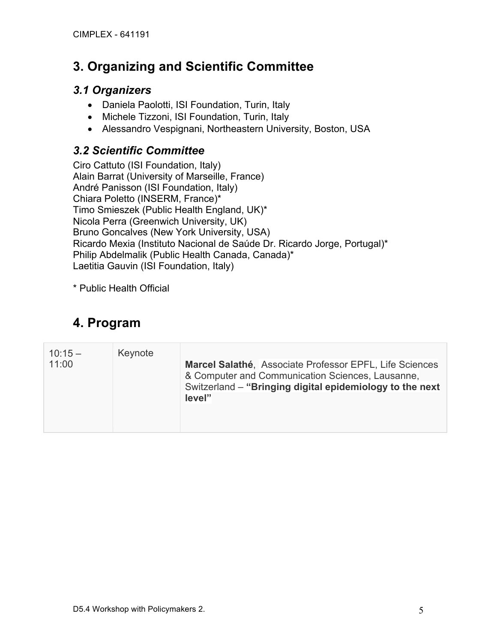## **3. Organizing and Scientific Committee**

#### *3.1 Organizers*

- Daniela Paolotti, ISI Foundation, Turin, Italy
- Michele Tizzoni, ISI Foundation, Turin, Italy
- Alessandro Vespignani, Northeastern University, Boston, USA

### *3.2 Scientific Committee*

Ciro Cattuto (ISI Foundation, Italy) Alain Barrat (University of Marseille, France) André Panisson (ISI Foundation, Italy) Chiara Poletto (INSERM, France)\* Timo Smieszek (Public Health England, UK)\* Nicola Perra (Greenwich University, UK) Bruno Goncalves (New York University, USA) Ricardo Mexia (Instituto Nacional de Saúde Dr. Ricardo Jorge, Portugal)\* Philip Abdelmalik (Public Health Canada, Canada)\* Laetitia Gauvin (ISI Foundation, Italy)

\* Public Health Official

# **4. Program**

| $10:15 -$<br>11:00 | Keynote | Marcel Salathé, Associate Professor EPFL, Life Sciences<br>& Computer and Communication Sciences, Lausanne,<br>Switzerland – "Bringing digital epidemiology to the next<br>level" |
|--------------------|---------|-----------------------------------------------------------------------------------------------------------------------------------------------------------------------------------|
|                    |         |                                                                                                                                                                                   |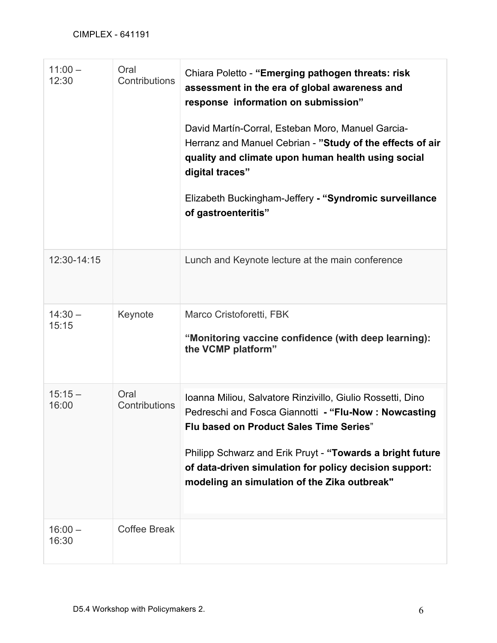| $11:00 -$<br>12:30 | Oral<br>Contributions | Chiara Poletto - "Emerging pathogen threats: risk<br>assessment in the era of global awareness and<br>response information on submission"<br>David Martín-Corral, Esteban Moro, Manuel Garcia-<br>Herranz and Manuel Cebrian - "Study of the effects of air<br>quality and climate upon human health using social<br>digital traces"<br>Elizabeth Buckingham-Jeffery - "Syndromic surveillance<br>of gastroenteritis" |
|--------------------|-----------------------|-----------------------------------------------------------------------------------------------------------------------------------------------------------------------------------------------------------------------------------------------------------------------------------------------------------------------------------------------------------------------------------------------------------------------|
| 12:30-14:15        |                       | Lunch and Keynote lecture at the main conference                                                                                                                                                                                                                                                                                                                                                                      |
| $14:30 -$<br>15:15 | Keynote               | Marco Cristoforetti, FBK<br>"Monitoring vaccine confidence (with deep learning):<br>the VCMP platform"                                                                                                                                                                                                                                                                                                                |
| $15:15 -$<br>16:00 | Oral<br>Contributions | Ioanna Miliou, Salvatore Rinzivillo, Giulio Rossetti, Dino<br>Pedreschi and Fosca Giannotti - "Flu-Now: Nowcasting<br><b>Flu based on Product Sales Time Series"</b><br>Philipp Schwarz and Erik Pruyt - "Towards a bright future<br>of data-driven simulation for policy decision support:<br>modeling an simulation of the Zika outbreak"                                                                           |
| $16:00 -$<br>16:30 | <b>Coffee Break</b>   |                                                                                                                                                                                                                                                                                                                                                                                                                       |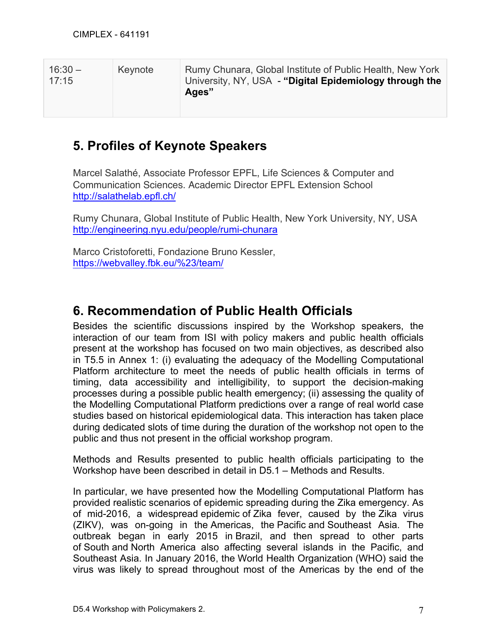| $16:30 -$<br>17:15 | Keynote | Rumy Chunara, Global Institute of Public Health, New York<br>University, NY, USA - "Digital Epidemiology through the<br>Ages" |
|--------------------|---------|-------------------------------------------------------------------------------------------------------------------------------|
|--------------------|---------|-------------------------------------------------------------------------------------------------------------------------------|

## **5. Profiles of Keynote Speakers**

Marcel Salathé, Associate Professor EPFL, Life Sciences & Computer and Communication Sciences. Academic Director EPFL Extension School http://salathelab.epfl.ch/

Rumy Chunara, Global Institute of Public Health, New York University, NY, USA http://engineering.nyu.edu/people/rumi-chunara

Marco Cristoforetti, Fondazione Bruno Kessler, https://webvalley.fbk.eu/%23/team/

## **6. Recommendation of Public Health Officials**

Besides the scientific discussions inspired by the Workshop speakers, the interaction of our team from ISI with policy makers and public health officials present at the workshop has focused on two main objectives, as described also in T5.5 in Annex 1: (i) evaluating the adequacy of the Modelling Computational Platform architecture to meet the needs of public health officials in terms of timing, data accessibility and intelligibility, to support the decision-making processes during a possible public health emergency; (ii) assessing the quality of the Modelling Computational Platform predictions over a range of real world case studies based on historical epidemiological data. This interaction has taken place during dedicated slots of time during the duration of the workshop not open to the public and thus not present in the official workshop program.

Methods and Results presented to public health officials participating to the Workshop have been described in detail in D5.1 – Methods and Results.

In particular, we have presented how the Modelling Computational Platform has provided realistic scenarios of epidemic spreading during the Zika emergency. As of mid-2016, a widespread epidemic of Zika fever, caused by the Zika virus (ZIKV), was on-going in the Americas, the Pacific and Southeast Asia. The outbreak began in early 2015 in Brazil, and then spread to other parts of South and North America also affecting several islands in the Pacific, and Southeast Asia. In January 2016, the World Health Organization (WHO) said the virus was likely to spread throughout most of the Americas by the end of the